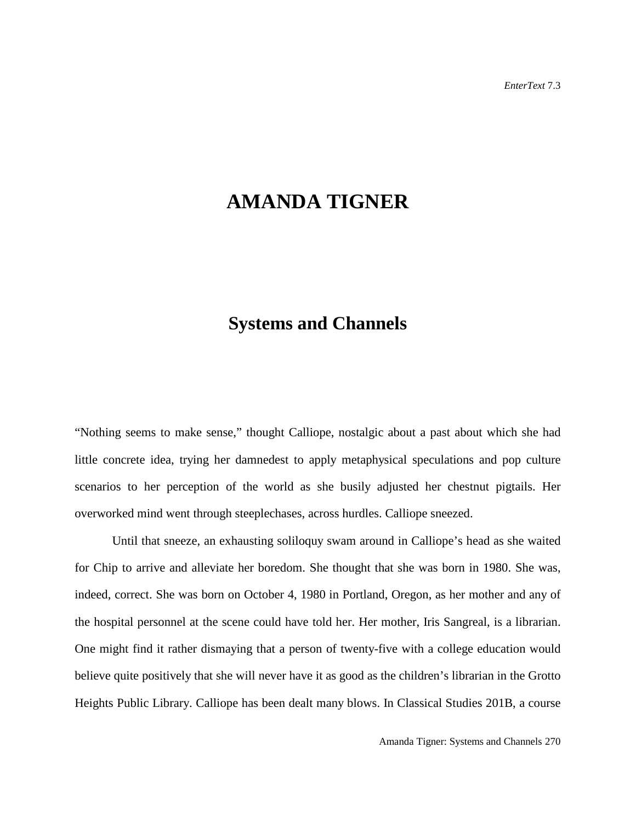## **AMANDA TIGNER**

## **Systems and Channels**

"Nothing seems to make sense," thought Calliope, nostalgic about a past about which she had little concrete idea, trying her damnedest to apply metaphysical speculations and pop culture scenarios to her perception of the world as she busily adjusted her chestnut pigtails. Her overworked mind went through steeplechases, across hurdles. Calliope sneezed.

Until that sneeze, an exhausting soliloquy swam around in Calliope's head as she waited for Chip to arrive and alleviate her boredom. She thought that she was born in 1980. She was, indeed, correct. She was born on October 4, 1980 in Portland, Oregon, as her mother and any of the hospital personnel at the scene could have told her. Her mother, Iris Sangreal, is a librarian. One might find it rather dismaying that a person of twenty-five with a college education would believe quite positively that she will never have it as good as the children's librarian in the Grotto Heights Public Library. Calliope has been dealt many blows. In Classical Studies 201B, a course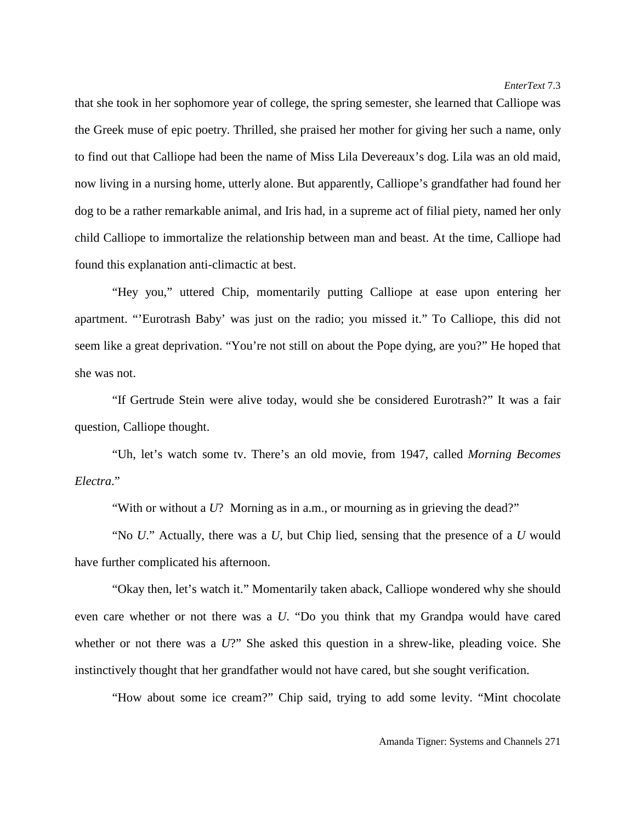that she took in her sophomore year of college, the spring semester, she learned that Calliope was the Greek muse of epic poetry. Thrilled, she praised her mother for giving her such a name, only to find out that Calliope had been the name of Miss Lila Devereaux's dog. Lila was an old maid, now living in a nursing home, utterly alone. But apparently, Calliope's grandfather had found her dog to be a rather remarkable animal, and Iris had, in a supreme act of filial piety, named her only child Calliope to immortalize the relationship between man and beast. At the time, Calliope had found this explanation anti-climactic at best.

"Hey you," uttered Chip, momentarily putting Calliope at ease upon entering her apartment. "'Eurotrash Baby' was just on the radio; you missed it." To Calliope, this did not seem like a great deprivation. "You're not still on about the Pope dying, are you?" He hoped that she was not.

"If Gertrude Stein were alive today, would she be considered Eurotrash?" It was a fair question, Calliope thought.

"Uh, let's watch some tv. There's an old movie, from 1947, called *Morning Becomes Electra*."

"With or without a *U*? Morning as in a.m., or mourning as in grieving the dead?"

"No *U*." Actually, there was a *U*, but Chip lied, sensing that the presence of a *U* would have further complicated his afternoon.

"Okay then, let's watch it." Momentarily taken aback, Calliope wondered why she should even care whether or not there was a *U*. "Do you think that my Grandpa would have cared whether or not there was a *U*?" She asked this question in a shrew-like, pleading voice. She instinctively thought that her grandfather would not have cared, but she sought verification.

"How about some ice cream?" Chip said, trying to add some levity. "Mint chocolate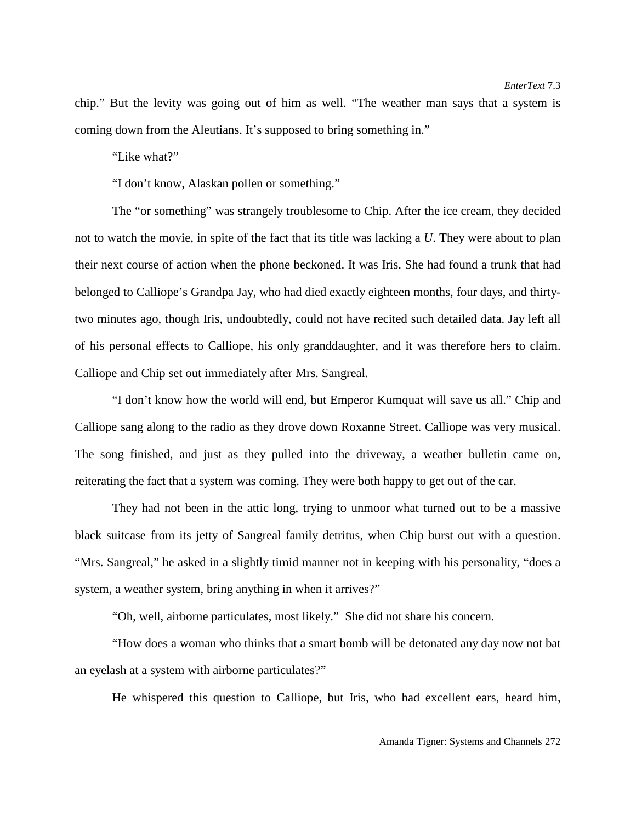chip." But the levity was going out of him as well. "The weather man says that a system is coming down from the Aleutians. It's supposed to bring something in."

"Like what?"

"I don't know, Alaskan pollen or something."

The "or something" was strangely troublesome to Chip. After the ice cream, they decided not to watch the movie, in spite of the fact that its title was lacking a *U*. They were about to plan their next course of action when the phone beckoned. It was Iris. She had found a trunk that had belonged to Calliope's Grandpa Jay, who had died exactly eighteen months, four days, and thirtytwo minutes ago, though Iris, undoubtedly, could not have recited such detailed data. Jay left all of his personal effects to Calliope, his only granddaughter, and it was therefore hers to claim. Calliope and Chip set out immediately after Mrs. Sangreal.

"I don't know how the world will end, but Emperor Kumquat will save us all." Chip and Calliope sang along to the radio as they drove down Roxanne Street. Calliope was very musical. The song finished, and just as they pulled into the driveway, a weather bulletin came on, reiterating the fact that a system was coming. They were both happy to get out of the car.

They had not been in the attic long, trying to unmoor what turned out to be a massive black suitcase from its jetty of Sangreal family detritus, when Chip burst out with a question. "Mrs. Sangreal," he asked in a slightly timid manner not in keeping with his personality, "does a system, a weather system, bring anything in when it arrives?"

"Oh, well, airborne particulates, most likely." She did not share his concern.

"How does a woman who thinks that a smart bomb will be detonated any day now not bat an eyelash at a system with airborne particulates?"

He whispered this question to Calliope, but Iris, who had excellent ears, heard him,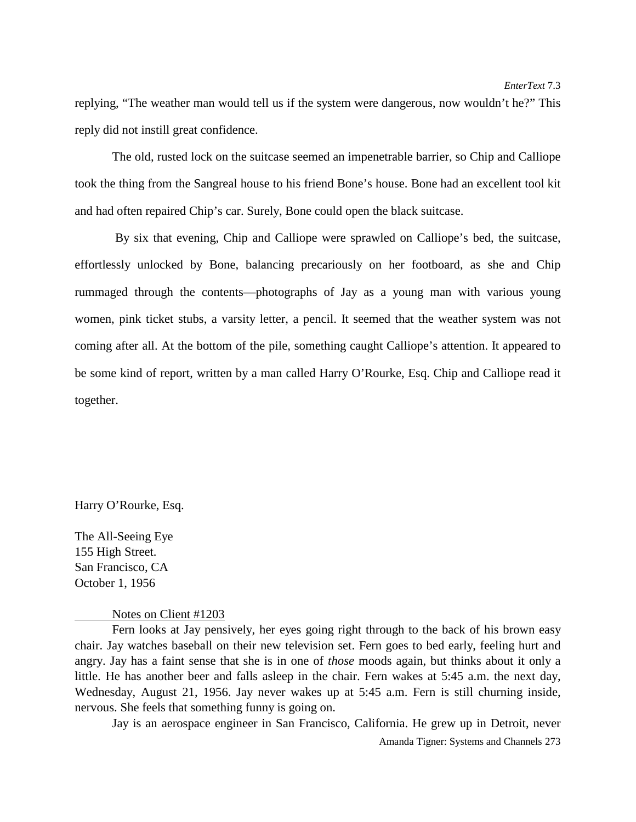replying, "The weather man would tell us if the system were dangerous, now wouldn't he?" This reply did not instill great confidence.

The old, rusted lock on the suitcase seemed an impenetrable barrier, so Chip and Calliope took the thing from the Sangreal house to his friend Bone's house. Bone had an excellent tool kit and had often repaired Chip's car. Surely, Bone could open the black suitcase.

By six that evening, Chip and Calliope were sprawled on Calliope's bed, the suitcase, effortlessly unlocked by Bone, balancing precariously on her footboard, as she and Chip rummaged through the contents—photographs of Jay as a young man with various young women, pink ticket stubs, a varsity letter, a pencil. It seemed that the weather system was not coming after all. At the bottom of the pile, something caught Calliope's attention. It appeared to be some kind of report, written by a man called Harry O'Rourke, Esq. Chip and Calliope read it together.

Harry O'Rourke, Esq.

The All-Seeing Eye 155 High Street. San Francisco, CA October 1, 1956

Notes on Client #1203

Fern looks at Jay pensively, her eyes going right through to the back of his brown easy chair. Jay watches baseball on their new television set. Fern goes to bed early, feeling hurt and angry. Jay has a faint sense that she is in one of *those* moods again, but thinks about it only a little. He has another beer and falls asleep in the chair. Fern wakes at 5:45 a.m. the next day, Wednesday, August 21, 1956. Jay never wakes up at 5:45 a.m. Fern is still churning inside, nervous. She feels that something funny is going on.

Jay is an aerospace engineer in San Francisco, California. He grew up in Detroit, never

Amanda Tigner: Systems and Channels 273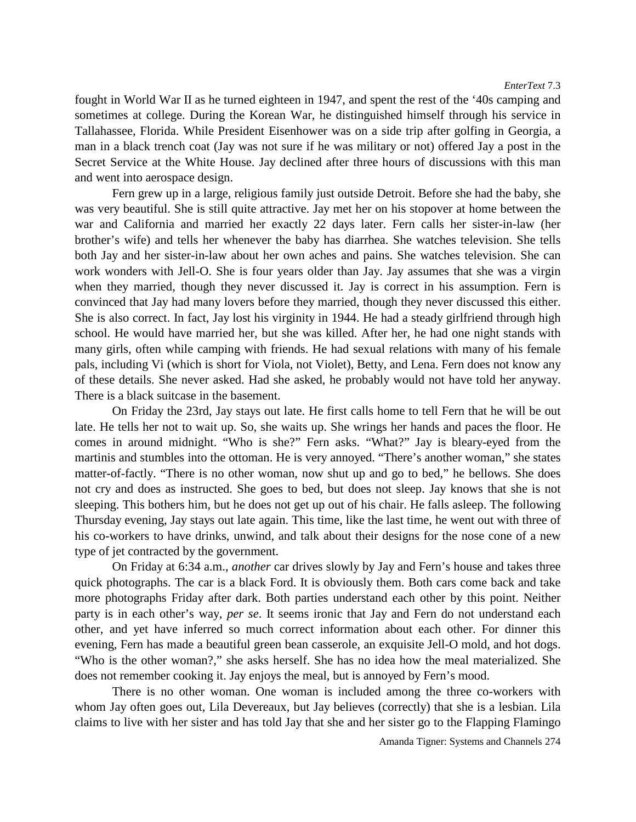fought in World War II as he turned eighteen in 1947, and spent the rest of the '40s camping and sometimes at college. During the Korean War, he distinguished himself through his service in Tallahassee, Florida. While President Eisenhower was on a side trip after golfing in Georgia, a man in a black trench coat (Jay was not sure if he was military or not) offered Jay a post in the Secret Service at the White House. Jay declined after three hours of discussions with this man and went into aerospace design.

Fern grew up in a large, religious family just outside Detroit. Before she had the baby, she was very beautiful. She is still quite attractive. Jay met her on his stopover at home between the war and California and married her exactly 22 days later. Fern calls her sister-in-law (her brother's wife) and tells her whenever the baby has diarrhea. She watches television. She tells both Jay and her sister-in-law about her own aches and pains. She watches television. She can work wonders with Jell-O. She is four years older than Jay. Jay assumes that she was a virgin when they married, though they never discussed it. Jay is correct in his assumption. Fern is convinced that Jay had many lovers before they married, though they never discussed this either. She is also correct. In fact, Jay lost his virginity in 1944. He had a steady girlfriend through high school. He would have married her, but she was killed. After her, he had one night stands with many girls, often while camping with friends. He had sexual relations with many of his female pals, including Vi (which is short for Viola, not Violet), Betty, and Lena. Fern does not know any of these details. She never asked. Had she asked, he probably would not have told her anyway. There is a black suitcase in the basement.

On Friday the 23rd, Jay stays out late. He first calls home to tell Fern that he will be out late. He tells her not to wait up. So, she waits up. She wrings her hands and paces the floor. He comes in around midnight. "Who is she?" Fern asks. "What?" Jay is bleary-eyed from the martinis and stumbles into the ottoman. He is very annoyed. "There's another woman," she states matter-of-factly. "There is no other woman, now shut up and go to bed," he bellows. She does not cry and does as instructed. She goes to bed, but does not sleep. Jay knows that she is not sleeping. This bothers him, but he does not get up out of his chair. He falls asleep. The following Thursday evening, Jay stays out late again. This time, like the last time, he went out with three of his co-workers to have drinks, unwind, and talk about their designs for the nose cone of a new type of jet contracted by the government.

On Friday at 6:34 a.m., *another* car drives slowly by Jay and Fern's house and takes three quick photographs. The car is a black Ford. It is obviously them. Both cars come back and take more photographs Friday after dark. Both parties understand each other by this point. Neither party is in each other's way, *per se*. It seems ironic that Jay and Fern do not understand each other, and yet have inferred so much correct information about each other. For dinner this evening, Fern has made a beautiful green bean casserole, an exquisite Jell-O mold, and hot dogs. "Who is the other woman?," she asks herself. She has no idea how the meal materialized. She does not remember cooking it. Jay enjoys the meal, but is annoyed by Fern's mood.

There is no other woman. One woman is included among the three co-workers with whom Jay often goes out, Lila Devereaux, but Jay believes (correctly) that she is a lesbian. Lila claims to live with her sister and has told Jay that she and her sister go to the Flapping Flamingo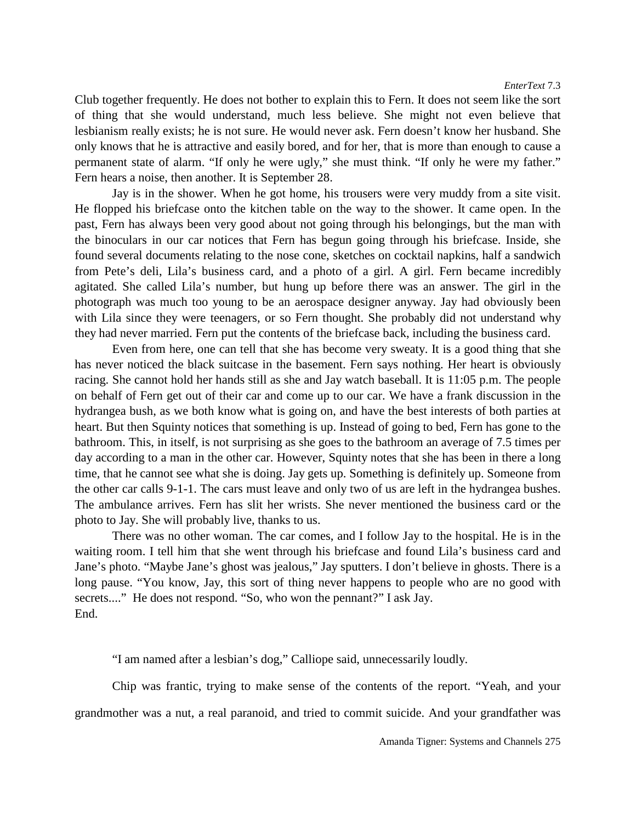Club together frequently. He does not bother to explain this to Fern. It does not seem like the sort of thing that she would understand, much less believe. She might not even believe that lesbianism really exists; he is not sure. He would never ask. Fern doesn't know her husband. She only knows that he is attractive and easily bored, and for her, that is more than enough to cause a permanent state of alarm. "If only he were ugly," she must think. "If only he were my father." Fern hears a noise, then another. It is September 28.

Jay is in the shower. When he got home, his trousers were very muddy from a site visit. He flopped his briefcase onto the kitchen table on the way to the shower. It came open. In the past, Fern has always been very good about not going through his belongings, but the man with the binoculars in our car notices that Fern has begun going through his briefcase. Inside, she found several documents relating to the nose cone, sketches on cocktail napkins, half a sandwich from Pete's deli, Lila's business card, and a photo of a girl. A girl. Fern became incredibly agitated. She called Lila's number, but hung up before there was an answer. The girl in the photograph was much too young to be an aerospace designer anyway. Jay had obviously been with Lila since they were teenagers, or so Fern thought. She probably did not understand why they had never married. Fern put the contents of the briefcase back, including the business card.

Even from here, one can tell that she has become very sweaty. It is a good thing that she has never noticed the black suitcase in the basement. Fern says nothing. Her heart is obviously racing. She cannot hold her hands still as she and Jay watch baseball. It is 11:05 p.m. The people on behalf of Fern get out of their car and come up to our car. We have a frank discussion in the hydrangea bush, as we both know what is going on, and have the best interests of both parties at heart. But then Squinty notices that something is up. Instead of going to bed, Fern has gone to the bathroom. This, in itself, is not surprising as she goes to the bathroom an average of 7.5 times per day according to a man in the other car. However, Squinty notes that she has been in there a long time, that he cannot see what she is doing. Jay gets up. Something is definitely up. Someone from the other car calls 9-1-1. The cars must leave and only two of us are left in the hydrangea bushes. The ambulance arrives. Fern has slit her wrists. She never mentioned the business card or the photo to Jay. She will probably live, thanks to us.

There was no other woman. The car comes, and I follow Jay to the hospital. He is in the waiting room. I tell him that she went through his briefcase and found Lila's business card and Jane's photo. "Maybe Jane's ghost was jealous," Jay sputters. I don't believe in ghosts. There is a long pause. "You know, Jay, this sort of thing never happens to people who are no good with secrets...." He does not respond. "So, who won the pennant?" I ask Jay. End.

"I am named after a lesbian's dog," Calliope said, unnecessarily loudly.

Chip was frantic, trying to make sense of the contents of the report. "Yeah, and your grandmother was a nut, a real paranoid, and tried to commit suicide. And your grandfather was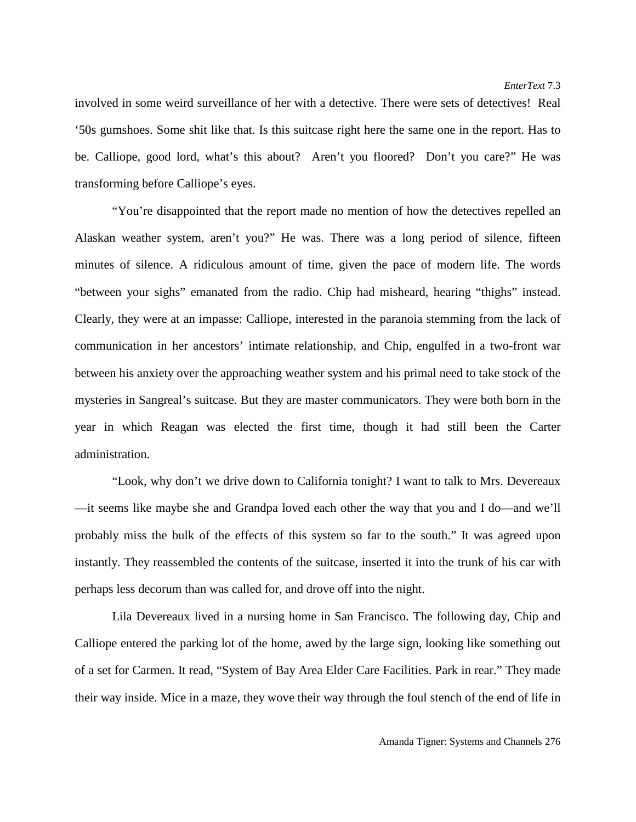involved in some weird surveillance of her with a detective. There were sets of detectives! Real '50s gumshoes. Some shit like that. Is this suitcase right here the same one in the report. Has to be. Calliope, good lord, what's this about? Aren't you floored? Don't you care?" He was transforming before Calliope's eyes.

"You're disappointed that the report made no mention of how the detectives repelled an Alaskan weather system, aren't you?" He was. There was a long period of silence, fifteen minutes of silence. A ridiculous amount of time, given the pace of modern life. The words "between your sighs" emanated from the radio. Chip had misheard, hearing "thighs" instead. Clearly, they were at an impasse: Calliope, interested in the paranoia stemming from the lack of communication in her ancestors' intimate relationship, and Chip, engulfed in a two-front war between his anxiety over the approaching weather system and his primal need to take stock of the mysteries in Sangreal's suitcase. But they are master communicators. They were both born in the year in which Reagan was elected the first time, though it had still been the Carter administration.

"Look, why don't we drive down to California tonight? I want to talk to Mrs. Devereaux —it seems like maybe she and Grandpa loved each other the way that you and I do—and we'll probably miss the bulk of the effects of this system so far to the south." It was agreed upon instantly. They reassembled the contents of the suitcase, inserted it into the trunk of his car with perhaps less decorum than was called for, and drove off into the night.

Lila Devereaux lived in a nursing home in San Francisco. The following day, Chip and Calliope entered the parking lot of the home, awed by the large sign, looking like something out of a set for Carmen. It read, "System of Bay Area Elder Care Facilities. Park in rear." They made their way inside. Mice in a maze, they wove their way through the foul stench of the end of life in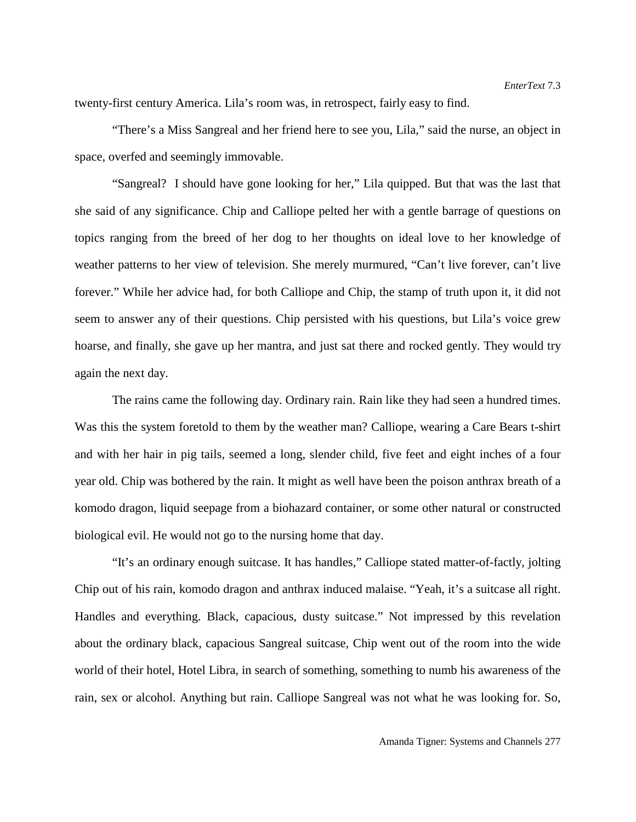twenty-first century America. Lila's room was, in retrospect, fairly easy to find.

"There's a Miss Sangreal and her friend here to see you, Lila," said the nurse, an object in space, overfed and seemingly immovable.

"Sangreal? I should have gone looking for her," Lila quipped. But that was the last that she said of any significance. Chip and Calliope pelted her with a gentle barrage of questions on topics ranging from the breed of her dog to her thoughts on ideal love to her knowledge of weather patterns to her view of television. She merely murmured, "Can't live forever, can't live forever." While her advice had, for both Calliope and Chip, the stamp of truth upon it, it did not seem to answer any of their questions. Chip persisted with his questions, but Lila's voice grew hoarse, and finally, she gave up her mantra, and just sat there and rocked gently. They would try again the next day.

The rains came the following day. Ordinary rain. Rain like they had seen a hundred times. Was this the system foretold to them by the weather man? Calliope, wearing a Care Bears t-shirt and with her hair in pig tails, seemed a long, slender child, five feet and eight inches of a four year old. Chip was bothered by the rain. It might as well have been the poison anthrax breath of a komodo dragon, liquid seepage from a biohazard container, or some other natural or constructed biological evil. He would not go to the nursing home that day.

"It's an ordinary enough suitcase. It has handles," Calliope stated matter-of-factly, jolting Chip out of his rain, komodo dragon and anthrax induced malaise. "Yeah, it's a suitcase all right. Handles and everything. Black, capacious, dusty suitcase." Not impressed by this revelation about the ordinary black, capacious Sangreal suitcase, Chip went out of the room into the wide world of their hotel, Hotel Libra, in search of something, something to numb his awareness of the rain, sex or alcohol. Anything but rain. Calliope Sangreal was not what he was looking for. So,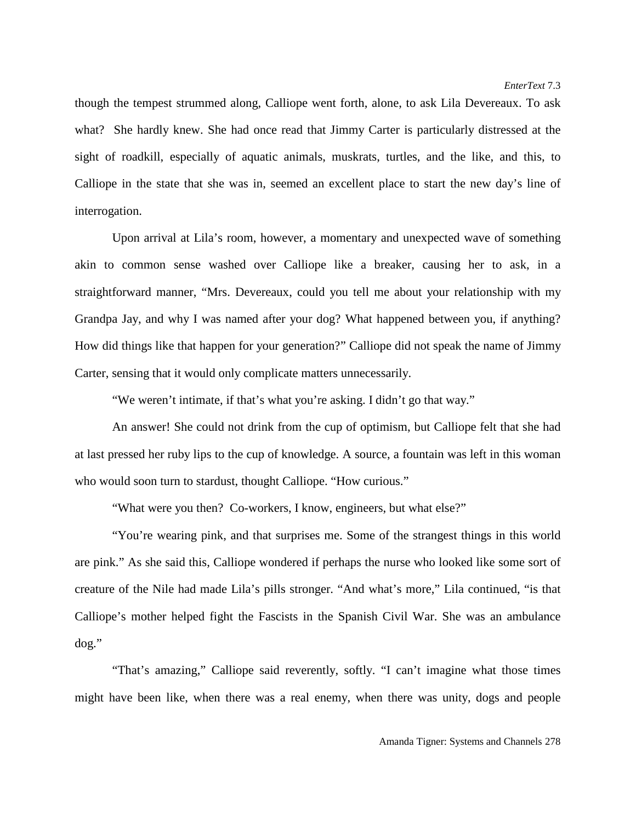though the tempest strummed along, Calliope went forth, alone, to ask Lila Devereaux. To ask what? She hardly knew. She had once read that Jimmy Carter is particularly distressed at the sight of roadkill, especially of aquatic animals, muskrats, turtles, and the like, and this, to Calliope in the state that she was in, seemed an excellent place to start the new day's line of interrogation.

Upon arrival at Lila's room, however, a momentary and unexpected wave of something akin to common sense washed over Calliope like a breaker, causing her to ask, in a straightforward manner, "Mrs. Devereaux, could you tell me about your relationship with my Grandpa Jay, and why I was named after your dog? What happened between you, if anything? How did things like that happen for your generation?" Calliope did not speak the name of Jimmy Carter, sensing that it would only complicate matters unnecessarily.

"We weren't intimate, if that's what you're asking. I didn't go that way."

An answer! She could not drink from the cup of optimism, but Calliope felt that she had at last pressed her ruby lips to the cup of knowledge. A source, a fountain was left in this woman who would soon turn to stardust, thought Calliope. "How curious."

"What were you then? Co-workers, I know, engineers, but what else?"

"You're wearing pink, and that surprises me. Some of the strangest things in this world are pink." As she said this, Calliope wondered if perhaps the nurse who looked like some sort of creature of the Nile had made Lila's pills stronger. "And what's more," Lila continued, "is that Calliope's mother helped fight the Fascists in the Spanish Civil War. She was an ambulance dog."

"That's amazing," Calliope said reverently, softly. "I can't imagine what those times might have been like, when there was a real enemy, when there was unity, dogs and people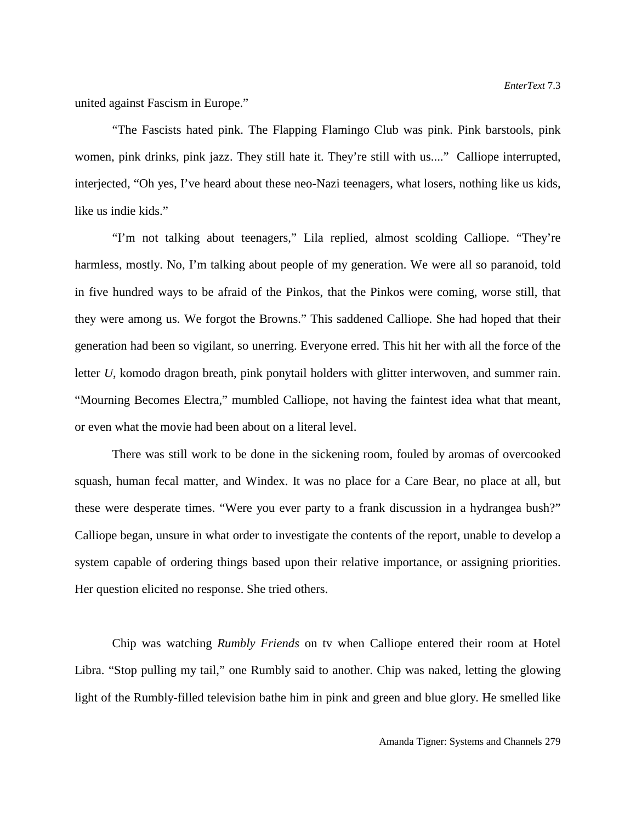united against Fascism in Europe."

"The Fascists hated pink. The Flapping Flamingo Club was pink. Pink barstools, pink women, pink drinks, pink jazz. They still hate it. They're still with us...." Calliope interrupted, interjected, "Oh yes, I've heard about these neo-Nazi teenagers, what losers, nothing like us kids, like us indie kids."

"I'm not talking about teenagers," Lila replied, almost scolding Calliope. "They're harmless, mostly. No, I'm talking about people of my generation. We were all so paranoid, told in five hundred ways to be afraid of the Pinkos, that the Pinkos were coming, worse still, that they were among us. We forgot the Browns." This saddened Calliope. She had hoped that their generation had been so vigilant, so unerring. Everyone erred. This hit her with all the force of the letter *U*, komodo dragon breath, pink ponytail holders with glitter interwoven, and summer rain. "Mourning Becomes Electra," mumbled Calliope, not having the faintest idea what that meant, or even what the movie had been about on a literal level.

There was still work to be done in the sickening room, fouled by aromas of overcooked squash, human fecal matter, and Windex. It was no place for a Care Bear, no place at all, but these were desperate times. "Were you ever party to a frank discussion in a hydrangea bush?" Calliope began, unsure in what order to investigate the contents of the report, unable to develop a system capable of ordering things based upon their relative importance, or assigning priorities. Her question elicited no response. She tried others.

Chip was watching *Rumbly Friends* on tv when Calliope entered their room at Hotel Libra. "Stop pulling my tail," one Rumbly said to another. Chip was naked, letting the glowing light of the Rumbly-filled television bathe him in pink and green and blue glory. He smelled like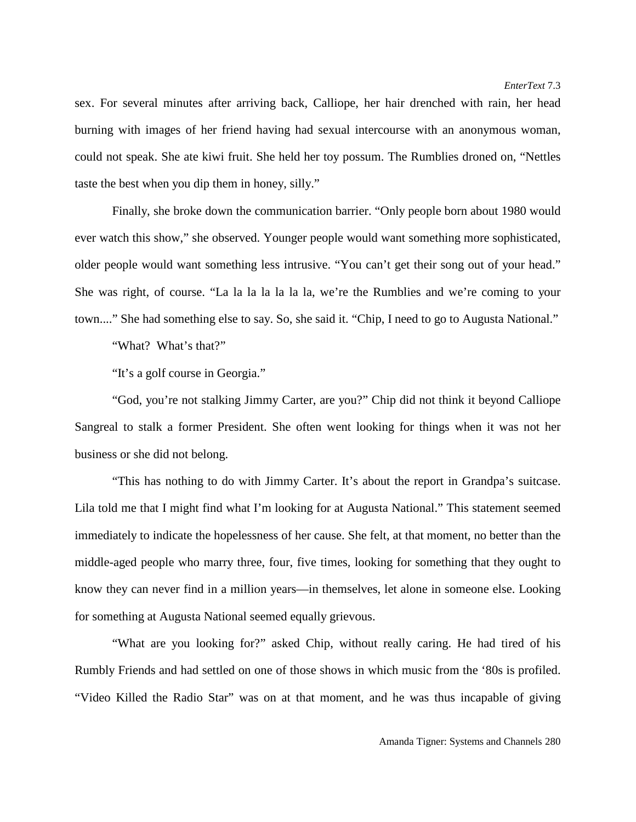sex. For several minutes after arriving back, Calliope, her hair drenched with rain, her head burning with images of her friend having had sexual intercourse with an anonymous woman, could not speak. She ate kiwi fruit. She held her toy possum. The Rumblies droned on, "Nettles taste the best when you dip them in honey, silly."

Finally, she broke down the communication barrier. "Only people born about 1980 would ever watch this show," she observed. Younger people would want something more sophisticated, older people would want something less intrusive. "You can't get their song out of your head." She was right, of course. "La la la la la la la, we're the Rumblies and we're coming to your town...." She had something else to say. So, she said it. "Chip, I need to go to Augusta National."

"What? What's that?"

"It's a golf course in Georgia."

"God, you're not stalking Jimmy Carter, are you?" Chip did not think it beyond Calliope Sangreal to stalk a former President. She often went looking for things when it was not her business or she did not belong.

"This has nothing to do with Jimmy Carter. It's about the report in Grandpa's suitcase. Lila told me that I might find what I'm looking for at Augusta National." This statement seemed immediately to indicate the hopelessness of her cause. She felt, at that moment, no better than the middle-aged people who marry three, four, five times, looking for something that they ought to know they can never find in a million years—in themselves, let alone in someone else. Looking for something at Augusta National seemed equally grievous.

"What are you looking for?" asked Chip, without really caring. He had tired of his Rumbly Friends and had settled on one of those shows in which music from the '80s is profiled. "Video Killed the Radio Star" was on at that moment, and he was thus incapable of giving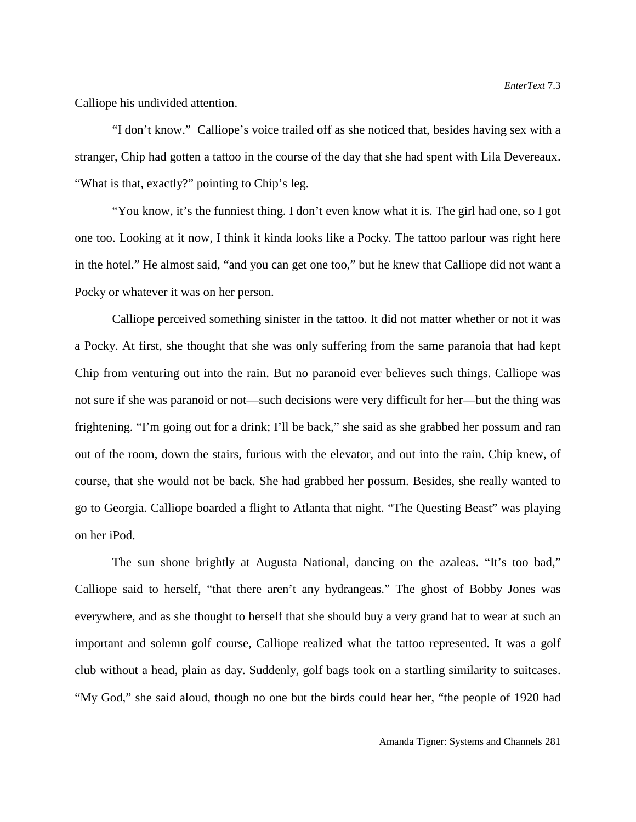Calliope his undivided attention.

"I don't know." Calliope's voice trailed off as she noticed that, besides having sex with a stranger, Chip had gotten a tattoo in the course of the day that she had spent with Lila Devereaux. "What is that, exactly?" pointing to Chip's leg.

"You know, it's the funniest thing. I don't even know what it is. The girl had one, so I got one too. Looking at it now, I think it kinda looks like a Pocky. The tattoo parlour was right here in the hotel." He almost said, "and you can get one too," but he knew that Calliope did not want a Pocky or whatever it was on her person.

Calliope perceived something sinister in the tattoo. It did not matter whether or not it was a Pocky. At first, she thought that she was only suffering from the same paranoia that had kept Chip from venturing out into the rain. But no paranoid ever believes such things. Calliope was not sure if she was paranoid or not—such decisions were very difficult for her—but the thing was frightening. "I'm going out for a drink; I'll be back," she said as she grabbed her possum and ran out of the room, down the stairs, furious with the elevator, and out into the rain. Chip knew, of course, that she would not be back. She had grabbed her possum. Besides, she really wanted to go to Georgia. Calliope boarded a flight to Atlanta that night. "The Questing Beast" was playing on her iPod.

The sun shone brightly at Augusta National, dancing on the azaleas. "It's too bad," Calliope said to herself, "that there aren't any hydrangeas." The ghost of Bobby Jones was everywhere, and as she thought to herself that she should buy a very grand hat to wear at such an important and solemn golf course, Calliope realized what the tattoo represented. It was a golf club without a head, plain as day. Suddenly, golf bags took on a startling similarity to suitcases. "My God," she said aloud, though no one but the birds could hear her, "the people of 1920 had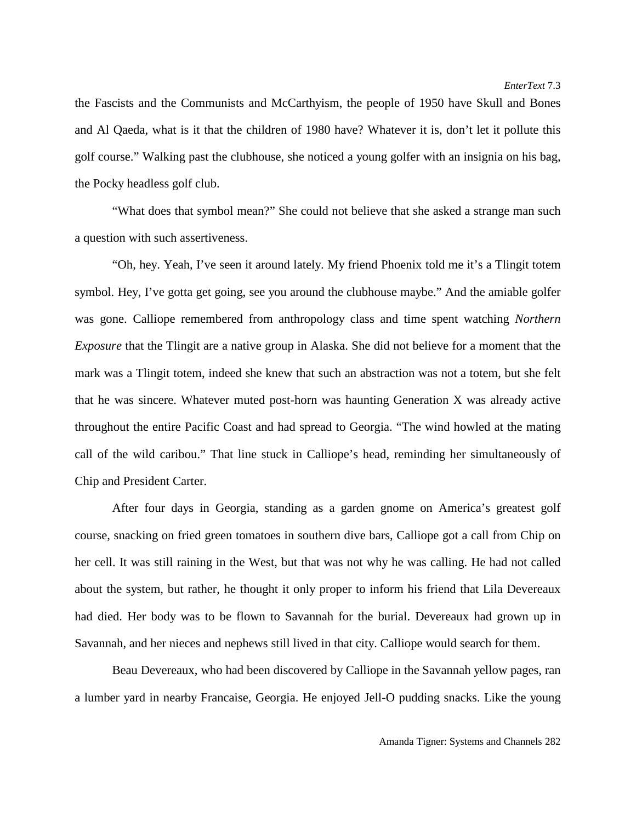the Fascists and the Communists and McCarthyism, the people of 1950 have Skull and Bones and Al Qaeda, what is it that the children of 1980 have? Whatever it is, don't let it pollute this golf course." Walking past the clubhouse, she noticed a young golfer with an insignia on his bag, the Pocky headless golf club.

"What does that symbol mean?" She could not believe that she asked a strange man such a question with such assertiveness.

"Oh, hey. Yeah, I've seen it around lately. My friend Phoenix told me it's a Tlingit totem symbol. Hey, I've gotta get going, see you around the clubhouse maybe." And the amiable golfer was gone. Calliope remembered from anthropology class and time spent watching *Northern Exposure* that the Tlingit are a native group in Alaska. She did not believe for a moment that the mark was a Tlingit totem, indeed she knew that such an abstraction was not a totem, but she felt that he was sincere. Whatever muted post-horn was haunting Generation X was already active throughout the entire Pacific Coast and had spread to Georgia. "The wind howled at the mating call of the wild caribou." That line stuck in Calliope's head, reminding her simultaneously of Chip and President Carter.

After four days in Georgia, standing as a garden gnome on America's greatest golf course, snacking on fried green tomatoes in southern dive bars, Calliope got a call from Chip on her cell. It was still raining in the West, but that was not why he was calling. He had not called about the system, but rather, he thought it only proper to inform his friend that Lila Devereaux had died. Her body was to be flown to Savannah for the burial. Devereaux had grown up in Savannah, and her nieces and nephews still lived in that city. Calliope would search for them.

Beau Devereaux, who had been discovered by Calliope in the Savannah yellow pages, ran a lumber yard in nearby Francaise, Georgia. He enjoyed Jell-O pudding snacks. Like the young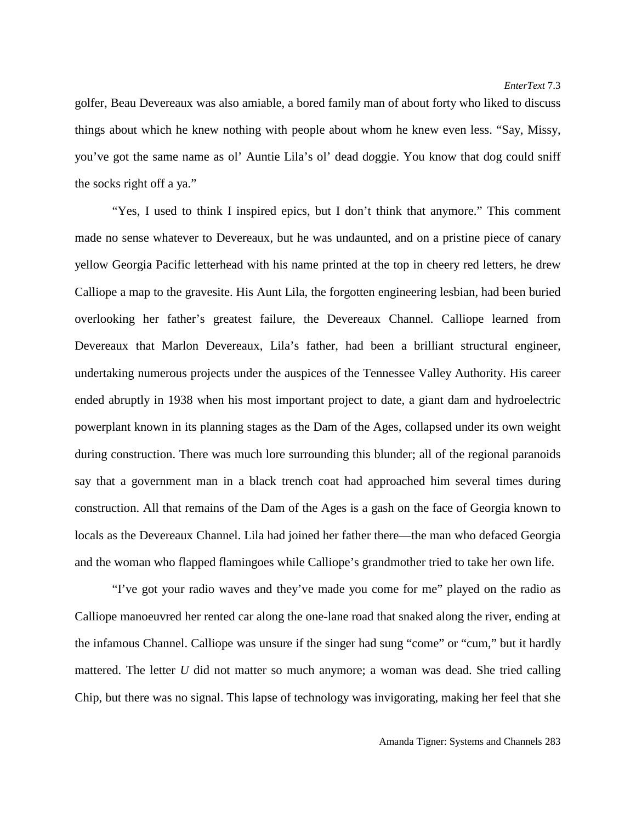golfer, Beau Devereaux was also amiable, a bored family man of about forty who liked to discuss things about which he knew nothing with people about whom he knew even less. "Say, Missy, you've got the same name as ol' Auntie Lila's ol' dead d*o*ggie. You know that dog could sniff the socks right off a ya."

"Yes, I used to think I inspired epics, but I don't think that anymore." This comment made no sense whatever to Devereaux, but he was undaunted, and on a pristine piece of canary yellow Georgia Pacific letterhead with his name printed at the top in cheery red letters, he drew Calliope a map to the gravesite. His Aunt Lila, the forgotten engineering lesbian, had been buried overlooking her father's greatest failure, the Devereaux Channel. Calliope learned from Devereaux that Marlon Devereaux, Lila's father, had been a brilliant structural engineer, undertaking numerous projects under the auspices of the Tennessee Valley Authority. His career ended abruptly in 1938 when his most important project to date, a giant dam and hydroelectric powerplant known in its planning stages as the Dam of the Ages, collapsed under its own weight during construction. There was much lore surrounding this blunder; all of the regional paranoids say that a government man in a black trench coat had approached him several times during construction. All that remains of the Dam of the Ages is a gash on the face of Georgia known to locals as the Devereaux Channel. Lila had joined her father there—the man who defaced Georgia and the woman who flapped flamingoes while Calliope's grandmother tried to take her own life.

"I've got your radio waves and they've made you come for me" played on the radio as Calliope manoeuvred her rented car along the one-lane road that snaked along the river, ending at the infamous Channel. Calliope was unsure if the singer had sung "come" or "cum," but it hardly mattered. The letter *U* did not matter so much anymore; a woman was dead. She tried calling Chip, but there was no signal. This lapse of technology was invigorating, making her feel that she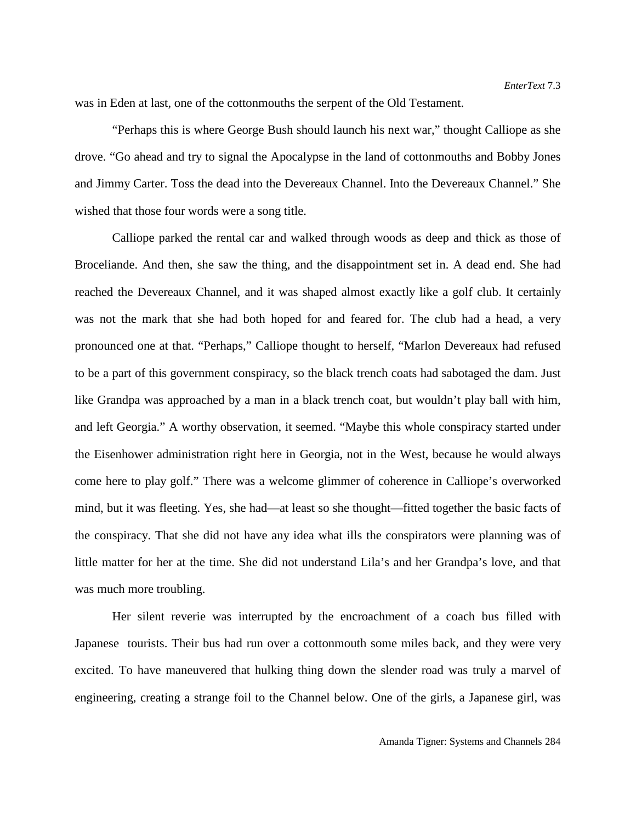was in Eden at last, one of the cottonmouths the serpent of the Old Testament.

"Perhaps this is where George Bush should launch his next war," thought Calliope as she drove. "Go ahead and try to signal the Apocalypse in the land of cottonmouths and Bobby Jones and Jimmy Carter. Toss the dead into the Devereaux Channel. Into the Devereaux Channel." She wished that those four words were a song title.

Calliope parked the rental car and walked through woods as deep and thick as those of Broceliande. And then, she saw the thing, and the disappointment set in. A dead end. She had reached the Devereaux Channel, and it was shaped almost exactly like a golf club. It certainly was not the mark that she had both hoped for and feared for. The club had a head, a very pronounced one at that. "Perhaps," Calliope thought to herself, "Marlon Devereaux had refused to be a part of this government conspiracy, so the black trench coats had sabotaged the dam. Just like Grandpa was approached by a man in a black trench coat, but wouldn't play ball with him, and left Georgia." A worthy observation, it seemed. "Maybe this whole conspiracy started under the Eisenhower administration right here in Georgia, not in the West, because he would always come here to play golf." There was a welcome glimmer of coherence in Calliope's overworked mind, but it was fleeting. Yes, she had—at least so she thought—fitted together the basic facts of the conspiracy. That she did not have any idea what ills the conspirators were planning was of little matter for her at the time. She did not understand Lila's and her Grandpa's love, and that was much more troubling.

Her silent reverie was interrupted by the encroachment of a coach bus filled with Japanese tourists. Their bus had run over a cottonmouth some miles back, and they were very excited. To have maneuvered that hulking thing down the slender road was truly a marvel of engineering, creating a strange foil to the Channel below. One of the girls, a Japanese girl, was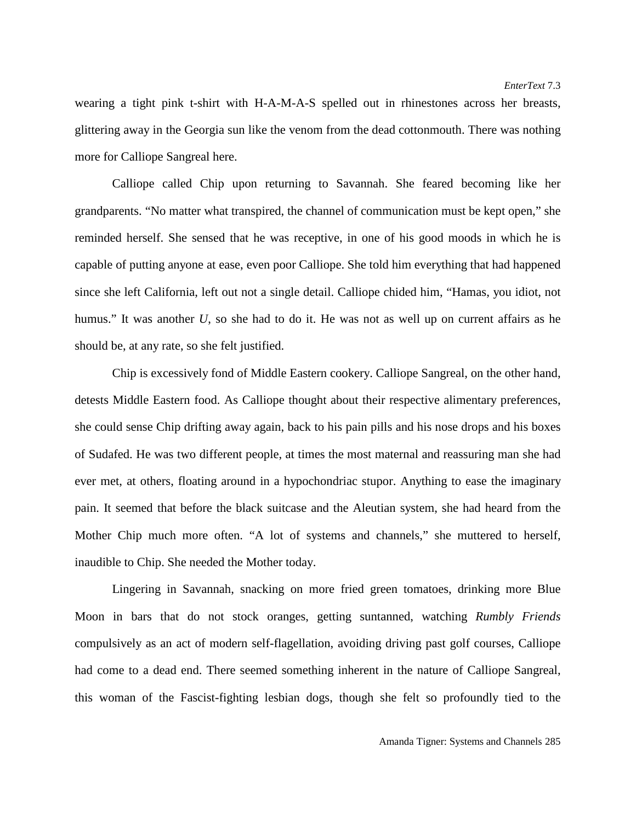wearing a tight pink t-shirt with H-A-M-A-S spelled out in rhinestones across her breasts, glittering away in the Georgia sun like the venom from the dead cottonmouth. There was nothing more for Calliope Sangreal here.

Calliope called Chip upon returning to Savannah. She feared becoming like her grandparents. "No matter what transpired, the channel of communication must be kept open," she reminded herself. She sensed that he was receptive, in one of his good moods in which he is capable of putting anyone at ease, even poor Calliope. She told him everything that had happened since she left California, left out not a single detail. Calliope chided him, "Hamas, you idiot, not humus." It was another *U*, so she had to do it. He was not as well up on current affairs as he should be, at any rate, so she felt justified.

Chip is excessively fond of Middle Eastern cookery. Calliope Sangreal, on the other hand, detests Middle Eastern food. As Calliope thought about their respective alimentary preferences, she could sense Chip drifting away again, back to his pain pills and his nose drops and his boxes of Sudafed. He was two different people, at times the most maternal and reassuring man she had ever met, at others, floating around in a hypochondriac stupor. Anything to ease the imaginary pain. It seemed that before the black suitcase and the Aleutian system, she had heard from the Mother Chip much more often. "A lot of systems and channels," she muttered to herself, inaudible to Chip. She needed the Mother today.

Lingering in Savannah, snacking on more fried green tomatoes, drinking more Blue Moon in bars that do not stock oranges, getting suntanned, watching *Rumbly Friends* compulsively as an act of modern self-flagellation, avoiding driving past golf courses, Calliope had come to a dead end. There seemed something inherent in the nature of Calliope Sangreal, this woman of the Fascist-fighting lesbian dogs, though she felt so profoundly tied to the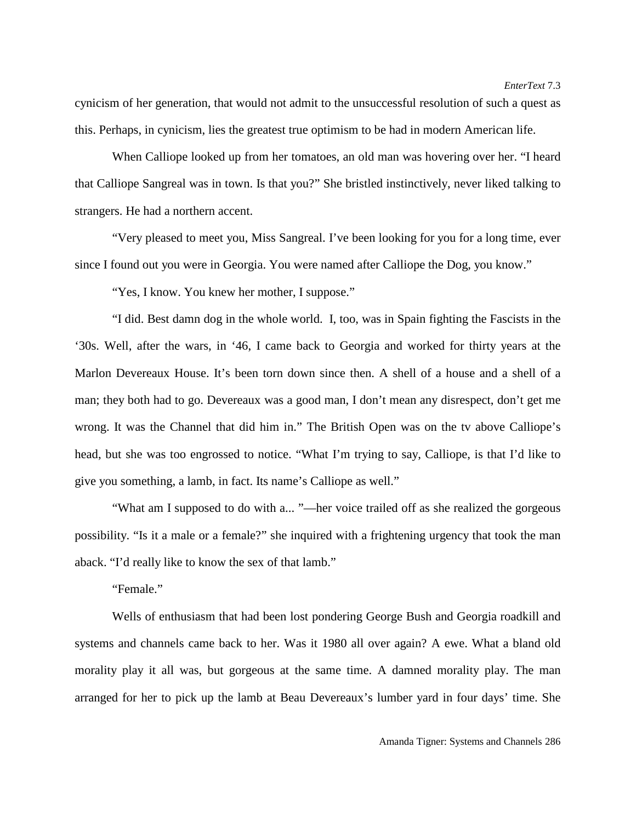cynicism of her generation, that would not admit to the unsuccessful resolution of such a quest as this. Perhaps, in cynicism, lies the greatest true optimism to be had in modern American life.

When Calliope looked up from her tomatoes, an old man was hovering over her. "I heard that Calliope Sangreal was in town. Is that you?" She bristled instinctively, never liked talking to strangers. He had a northern accent.

"Very pleased to meet you, Miss Sangreal. I've been looking for you for a long time, ever since I found out you were in Georgia. You were named after Calliope the Dog, you know."

"Yes, I know. You knew her mother, I suppose."

"I did. Best damn dog in the whole world. I, too, was in Spain fighting the Fascists in the '30s. Well, after the wars, in '46, I came back to Georgia and worked for thirty years at the Marlon Devereaux House. It's been torn down since then. A shell of a house and a shell of a man; they both had to go. Devereaux was a good man, I don't mean any disrespect, don't get me wrong. It was the Channel that did him in." The British Open was on the tv above Calliope's head, but she was too engrossed to notice. "What I'm trying to say, Calliope, is that I'd like to give you something, a lamb, in fact. Its name's Calliope as well."

"What am I supposed to do with a... "—her voice trailed off as she realized the gorgeous possibility. "Is it a male or a female?" she inquired with a frightening urgency that took the man aback. "I'd really like to know the sex of that lamb."

"Female."

Wells of enthusiasm that had been lost pondering George Bush and Georgia roadkill and systems and channels came back to her. Was it 1980 all over again? A ewe. What a bland old morality play it all was, but gorgeous at the same time. A damned morality play. The man arranged for her to pick up the lamb at Beau Devereaux's lumber yard in four days' time. She